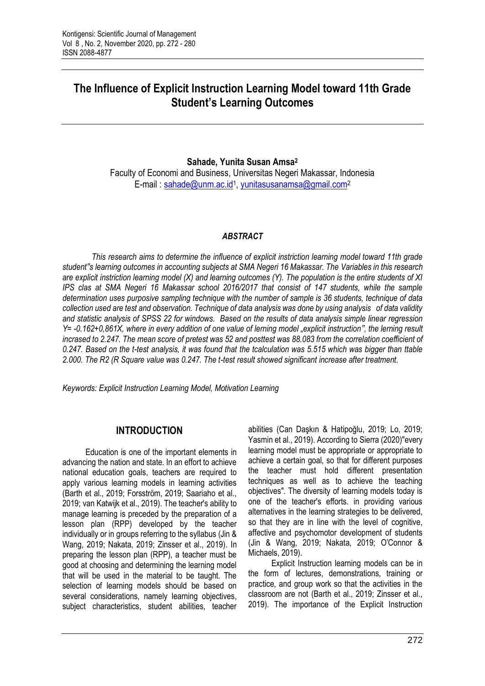# **The Influence of Explicit Instruction Learning Model toward 11th Grade Student's Learning Outcomes**

#### **Sahade, Yunita Susan Amsa<sup>2</sup>**

Faculty of Economi and Business, Universitas Negeri Makassar, Indonesia E-mail: [sahade@unm.ac.id](mailto:sahade@unm.ac.id)<sup>1</sup>, [yunitasusanamsa@gmail.com](mailto:yunitasusanamsa@gmail.com)<sup>2</sup>

#### *ABSTRACT*

*This research aims to determine the influence of explicit instriction learning model toward 11th grade student"s learning outcomes in accounting subjects at SMA Negeri 16 Makassar. The Variables in this research are explicit instriction learning model (X) and learning outcomes (Y). The population is the entire students of XI IPS clas at SMA Negeri 16 Makassar school 2016/2017 that consist of 147 students, while the sample determination uses purposive sampling technique with the number of sample is 36 students, technique of data collection used are test and observation. Technique of data analysis was done by using analysis of data validity and statistic analysis of SPSS 22 for windows. Based on the results of data analysis simple linear regression Y= -0.162+0,861X, where in every addition of one value of lerning model "explicit instruction", the lerning result incrased to 2.247. The mean score of pretest was 52 and posttest was 88.083 from the correlation coefficient of 0.247. Based on the t-test analysis, it was found that the tcalculation was 5.515 which was bigger than ttable 2.000. The R2 (R Square value was 0.247. The t-test result showed significant increase after treatment.*

*Keywords: Explicit Instruction Learning Model, Motivation Learning*

# **INTRODUCTION**

Education is one of the important elements in advancing the nation and state. In an effort to achieve national education goals, teachers are required to apply various learning models in learning activities (Barth et al., 2019; Forsström, 2019; Saariaho et al., 2019; van Katwijk et al., 2019). The teacher's ability to manage learning is preceded by the preparation of a lesson plan (RPP) developed by the teacher individually or in groups referring to the syllabus (Jin & Wang, 2019; Nakata, 2019; Zinsser et al., 2019). In preparing the lesson plan (RPP), a teacher must be good at choosing and determining the learning model that will be used in the material to be taught. The selection of learning models should be based on several considerations, namely learning objectives, subject characteristics, student abilities, teacher

abilities (Can Daşkın & Hatipoğlu, 2019; Lo, 2019; Yasmin et al., 2019). According to Sierra (2020)"every learning model must be appropriate or appropriate to achieve a certain goal, so that for different purposes the teacher must hold different presentation techniques as well as to achieve the teaching objectives". The diversity of learning models today is one of the teacher's efforts. in providing various alternatives in the learning strategies to be delivered, so that they are in line with the level of cognitive, affective and psychomotor development of students (Jin & Wang, 2019; Nakata, 2019; O'Connor & Michaels, 2019).

Explicit Instruction learning models can be in the form of lectures, demonstrations, training or practice, and group work so that the activities in the classroom are not (Barth et al., 2019; Zinsser et al., 2019). The importance of the Explicit Instruction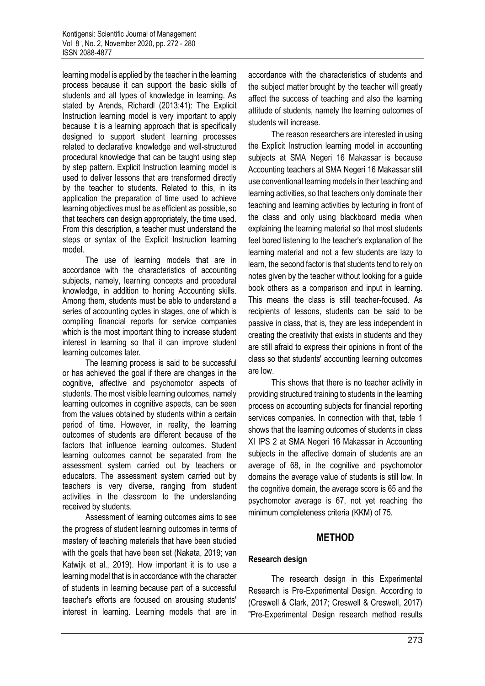learning model is applied by the teacher in the learning process because it can support the basic skills of students and all types of knowledge in learning. As stated by Arends, Richardl (2013:41): The Explicit Instruction learning model is very important to apply because it is a learning approach that is specifically designed to support student learning processes related to declarative knowledge and well-structured procedural knowledge that can be taught using step by step pattern. Explicit Instruction learning model is used to deliver lessons that are transformed directly by the teacher to students. Related to this, in its application the preparation of time used to achieve learning objectives must be as efficient as possible, so that teachers can design appropriately, the time used. From this description, a teacher must understand the steps or syntax of the Explicit Instruction learning model.

The use of learning models that are in accordance with the characteristics of accounting subjects, namely, learning concepts and procedural knowledge, in addition to honing Accounting skills. Among them, students must be able to understand a series of accounting cycles in stages, one of which is compiling financial reports for service companies which is the most important thing to increase student interest in learning so that it can improve student learning outcomes later.

The learning process is said to be successful or has achieved the goal if there are changes in the cognitive, affective and psychomotor aspects of students. The most visible learning outcomes, namely learning outcomes in cognitive aspects, can be seen from the values obtained by students within a certain period of time. However, in reality, the learning outcomes of students are different because of the factors that influence learning outcomes. Student learning outcomes cannot be separated from the assessment system carried out by teachers or educators. The assessment system carried out by teachers is very diverse, ranging from student activities in the classroom to the understanding received by students.

Assessment of learning outcomes aims to see the progress of student learning outcomes in terms of mastery of teaching materials that have been studied with the goals that have been set (Nakata, 2019; van Katwijk et al., 2019). How important it is to use a learning model that is in accordance with the character of students in learning because part of a successful teacher's efforts are focused on arousing students' interest in learning. Learning models that are in

accordance with the characteristics of students and the subject matter brought by the teacher will greatly affect the success of teaching and also the learning attitude of students, namely the learning outcomes of students will increase.

The reason researchers are interested in using the Explicit Instruction learning model in accounting subjects at SMA Negeri 16 Makassar is because Accounting teachers at SMA Negeri 16 Makassar still use conventional learning models in their teaching and learning activities, so that teachers only dominate their teaching and learning activities by lecturing in front of the class and only using blackboard media when explaining the learning material so that most students feel bored listening to the teacher's explanation of the learning material and not a few students are lazy to learn, the second factor is that students tend to rely on notes given by the teacher without looking for a guide book others as a comparison and input in learning. This means the class is still teacher-focused. As recipients of lessons, students can be said to be passive in class, that is, they are less independent in creating the creativity that exists in students and they are still afraid to express their opinions in front of the class so that students' accounting learning outcomes are low.

This shows that there is no teacher activity in providing structured training to students in the learning process on accounting subjects for financial reporting services companies. In connection with that, table 1 shows that the learning outcomes of students in class XI IPS 2 at SMA Negeri 16 Makassar in Accounting subjects in the affective domain of students are an average of 68, in the cognitive and psychomotor domains the average value of students is still low. In the cognitive domain, the average score is 65 and the psychomotor average is 67, not yet reaching the minimum completeness criteria (KKM) of 75.

# **METHOD**

#### **Research design**

The research design in this Experimental Research is Pre-Experimental Design. According to (Creswell & Clark, 2017; Creswell & Creswell, 2017) "Pre-Experimental Design research method results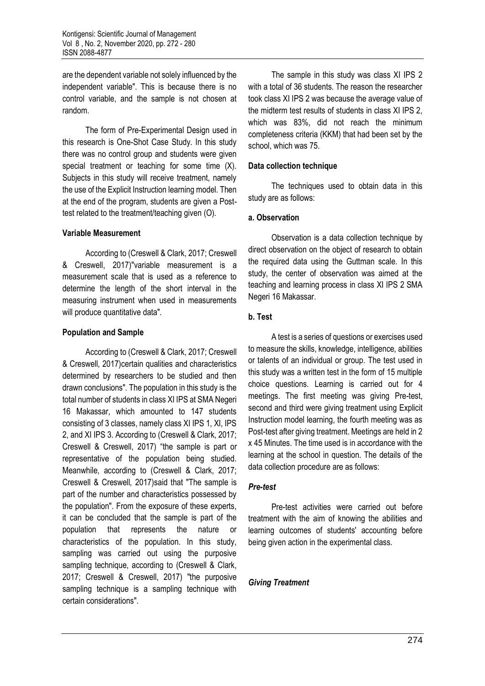are the dependent variable not solely influenced by the independent variable". This is because there is no control variable, and the sample is not chosen at random.

The form of Pre-Experimental Design used in this research is One-Shot Case Study. In this study there was no control group and students were given special treatment or teaching for some time (X). Subjects in this study will receive treatment, namely the use of the Explicit Instruction learning model. Then at the end of the program, students are given a Posttest related to the treatment/teaching given (O).

#### **Variable Measurement**

According to (Creswell & Clark, 2017; Creswell & Creswell, 2017)"variable measurement is a measurement scale that is used as a reference to determine the length of the short interval in the measuring instrument when used in measurements will produce quantitative data".

#### **Population and Sample**

According to (Creswell & Clark, 2017; Creswell & Creswell, 2017)certain qualities and characteristics determined by researchers to be studied and then drawn conclusions". The population in this study is the total number of students in class XI IPS at SMA Negeri 16 Makassar, which amounted to 147 students consisting of 3 classes, namely class XI IPS 1, XI, IPS 2, and XI IPS 3. According to (Creswell & Clark, 2017; Creswell & Creswell, 2017) "the sample is part or representative of the population being studied. Meanwhile, according to (Creswell & Clark, 2017; Creswell & Creswell, 2017)said that "The sample is part of the number and characteristics possessed by the population". From the exposure of these experts, it can be concluded that the sample is part of the population that represents the nature or characteristics of the population. In this study, sampling was carried out using the purposive sampling technique, according to (Creswell & Clark, 2017; Creswell & Creswell, 2017) "the purposive sampling technique is a sampling technique with certain considerations".

The sample in this study was class XI IPS 2 with a total of 36 students. The reason the researcher took class XI IPS 2 was because the average value of the midterm test results of students in class XI IPS 2, which was 83%, did not reach the minimum completeness criteria (KKM) that had been set by the school, which was 75.

#### **Data collection technique**

The techniques used to obtain data in this study are as follows:

#### **a. Observation**

Observation is a data collection technique by direct observation on the object of research to obtain the required data using the Guttman scale. In this study, the center of observation was aimed at the teaching and learning process in class XI IPS 2 SMA Negeri 16 Makassar.

# **b. Test**

A test is a series of questions or exercises used to measure the skills, knowledge, intelligence, abilities or talents of an individual or group. The test used in this study was a written test in the form of 15 multiple choice questions. Learning is carried out for 4 meetings. The first meeting was giving Pre-test, second and third were giving treatment using Explicit Instruction model learning, the fourth meeting was as Post-test after giving treatment. Meetings are held in 2 x 45 Minutes. The time used is in accordance with the learning at the school in question. The details of the data collection procedure are as follows:

#### *Pre-test*

Pre-test activities were carried out before treatment with the aim of knowing the abilities and learning outcomes of students' accounting before being given action in the experimental class.

#### *Giving Treatment*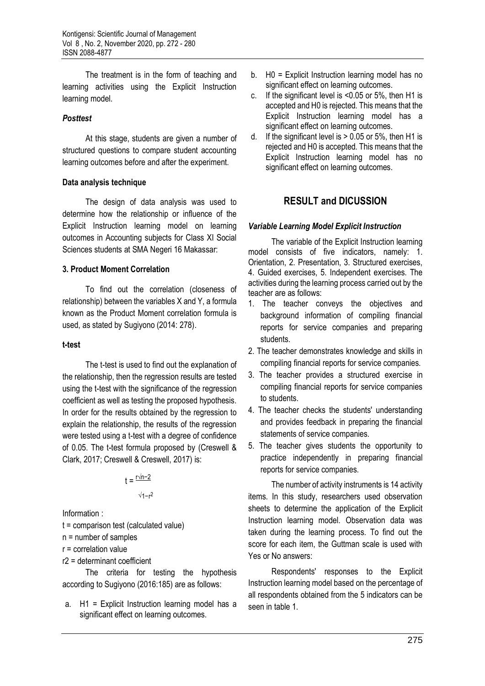The treatment is in the form of teaching and learning activities using the Explicit Instruction learning model.

### *Posttest*

At this stage, students are given a number of structured questions to compare student accounting learning outcomes before and after the experiment.

### **Data analysis technique**

The design of data analysis was used to determine how the relationship or influence of the Explicit Instruction learning model on learning outcomes in Accounting subjects for Class XI Social Sciences students at SMA Negeri 16 Makassar:

# **3. Product Moment Correlation**

To find out the correlation (closeness of relationship) between the variables X and Y, a formula known as the Product Moment correlation formula is used, as stated by Sugiyono (2014: 278).

#### **t-test**

The t-test is used to find out the explanation of the relationship, then the regression results are tested using the t-test with the significance of the regression coefficient as well as testing the proposed hypothesis. In order for the results obtained by the regression to explain the relationship, the results of the regression were tested using a t-test with a degree of confidence of 0.05. The t-test formula proposed by (Creswell & Clark, 2017; Creswell & Creswell, 2017) is:

t = <sup><u>r√n−2</u></sup>

$$
\sqrt{1-r^2}
$$

Information :

- t = comparison test (calculated value)
- n = number of samples

r = correlation value

r2 = determinant coefficient

The criteria for testing the hypothesis according to Sugiyono (2016:185) are as follows:

a. H1 = Explicit Instruction learning model has a significant effect on learning outcomes.

- b. H0 = Explicit Instruction learning model has no significant effect on learning outcomes.
- c. If the significant level is <0.05 or 5%, then H1 is accepted and H0 is rejected. This means that the Explicit Instruction learning model has a significant effect on learning outcomes.
- d. If the significant level is  $> 0.05$  or 5%, then H1 is rejected and H0 is accepted. This means that the Explicit Instruction learning model has no significant effect on learning outcomes.

# **RESULT and DICUSSION**

### *Variable Learning Model Explicit Instruction*

The variable of the Explicit Instruction learning model consists of five indicators, namely: 1. Orientation, 2. Presentation, 3. Structured exercises, 4. Guided exercises, 5. Independent exercises. The activities during the learning process carried out by the teacher are as follows:

- 1. The teacher conveys the objectives and background information of compiling financial reports for service companies and preparing students.
- 2. The teacher demonstrates knowledge and skills in compiling financial reports for service companies.
- 3. The teacher provides a structured exercise in compiling financial reports for service companies to students.
- 4. The teacher checks the students' understanding and provides feedback in preparing the financial statements of service companies.
- 5. The teacher gives students the opportunity to practice independently in preparing financial reports for service companies.

The number of activity instruments is 14 activity items. In this study, researchers used observation sheets to determine the application of the Explicit Instruction learning model. Observation data was taken during the learning process. To find out the score for each item, the Guttman scale is used with Yes or No answers:

Respondents' responses to the Explicit Instruction learning model based on the percentage of all respondents obtained from the 5 indicators can be seen in table 1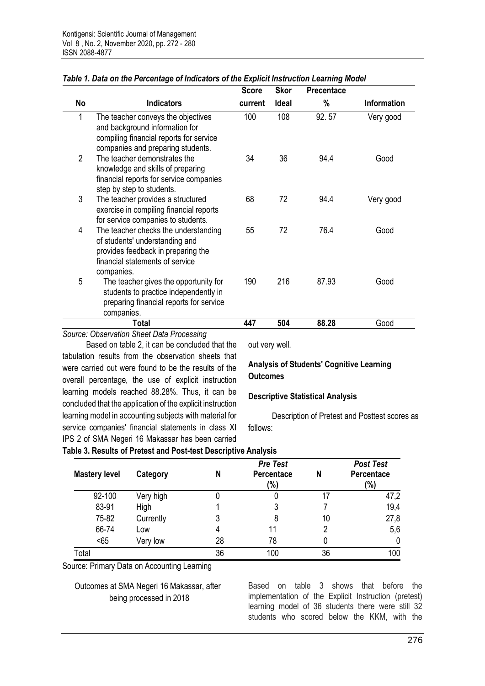|                |                                                                                                                                                               | <b>Score</b> | <b>Skor</b> | Precentace |             |
|----------------|---------------------------------------------------------------------------------------------------------------------------------------------------------------|--------------|-------------|------------|-------------|
| No             | <b>Indicators</b>                                                                                                                                             | current      | Ideal       | %          | Information |
| 1              | The teacher conveys the objectives<br>and background information for<br>compiling financial reports for service<br>companies and preparing students.          | 100          | 108         | 92.57      | Very good   |
| $\overline{2}$ | The teacher demonstrates the<br>knowledge and skills of preparing<br>financial reports for service companies<br>step by step to students.                     | 34           | 36          | 94.4       | Good        |
| 3              | The teacher provides a structured<br>exercise in compiling financial reports<br>for service companies to students.                                            | 68           | 72          | 94.4       | Very good   |
| 4              | The teacher checks the understanding<br>of students' understanding and<br>provides feedback in preparing the<br>financial statements of service<br>companies. | 55           | 72          | 76.4       | Good        |
| 5              | The teacher gives the opportunity for<br>students to practice independently in<br>preparing financial reports for service<br>companies.                       | 190          | 216         | 87.93      | Good        |
|                | Total                                                                                                                                                         | 447          | 504         | 88.28      | Good        |

# *Table 1. Data on the Percentage of Indicators of the Explicit Instruction Learning Model*

*Source: Observation Sheet Data Processing*

Based on table 2, it can be concluded that the tabulation results from the observation sheets that were carried out were found to be the results of the overall percentage, the use of explicit instruction learning models reached 88.28%. Thus, it can be concluded that the application of the explicit instruction learning model in accounting subjects with material for service companies' financial statements in class XI IPS 2 of SMA Negeri 16 Makassar has been carried

out very well.

### **Analysis of Students' Cognitive Learning Outcomes**

#### **Descriptive Statistical Analysis**

Description of Pretest and Posttest scores as follows:

# **Table 3. Results of Pretest and Post-test Descriptive Analysis**

| <b>Mastery level</b> | Category  | N  | <b>Pre Test</b><br>Percentace<br>(%) | N  | <b>Post Test</b><br>Percentace<br>$(\% )$ |
|----------------------|-----------|----|--------------------------------------|----|-------------------------------------------|
| 92-100               | Very high |    | U                                    | 17 | 47,2                                      |
| 83-91                | High      |    | 3                                    |    | 19,4                                      |
| 75-82                | Currently |    | 8                                    | 10 | 27,8                                      |
| 66-74                | Low       |    |                                      | 2  | 5,6                                       |
| < 65                 | Very low  | 28 | 78                                   |    | 0                                         |
| Total                |           | 36 | 100                                  | 36 | 100                                       |

Source: Primary Data on Accounting Learning

Outcomes at SMA Negeri 16 Makassar, after being processed in 2018

Based on table 3 shows that before the implementation of the Explicit Instruction (pretest) learning model of 36 students there were still 32 students who scored below the KKM, with the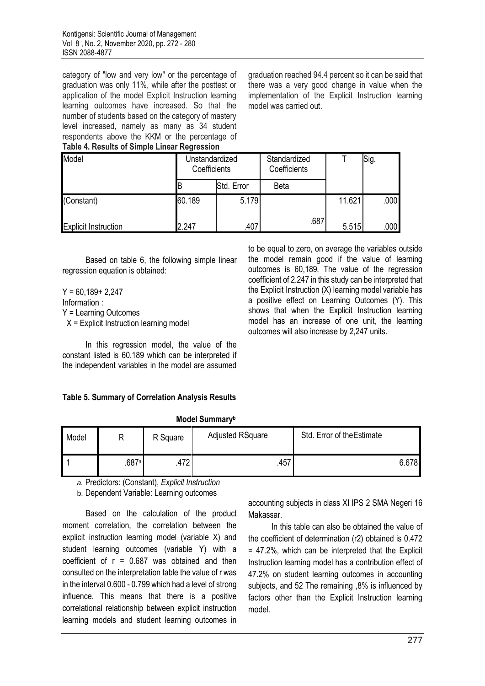category of "low and very low" or the percentage of graduation was only 11%, while after the posttest or application of the model Explicit Instruction learning learning outcomes have increased. So that the number of students based on the category of mastery level increased, namely as many as 34 student respondents above the KKM or the percentage of **Table 4. Results of Simple Linear Regression**

graduation reached 94.4 percent so it can be said that there was a very good change in value when the implementation of the Explicit Instruction learning model was carried out.

to be equal to zero, on average the variables outside the model remain good if the value of learning outcomes is 60,189. The value of the regression coefficient of 2.247 in this study can be interpreted that the Explicit Instruction (X) learning model variable has a positive effect on Learning Outcomes (Y). This shows that when the Explicit Instruction learning model has an increase of one unit, the learning

outcomes will also increase by 2,247 units.

| Model                       |        | Unstandardized<br>Coefficients | Standardized<br>Coefficients |        | Sig.              |  |
|-----------------------------|--------|--------------------------------|------------------------------|--------|-------------------|--|
|                             |        | Std. Error                     | <b>Beta</b>                  |        |                   |  |
| (Constant)                  | 60.189 | 5.179                          |                              | 11.621 | .000 <sub>1</sub> |  |
| <b>Explicit Instruction</b> | .247   | .407                           | .687                         | 5.515  | .000              |  |

Based on table 6, the following simple linear regression equation is obtained:

 $Y = 60.189 + 2.247$ Information : Y = Learning Outcomes X = Explicit Instruction learning model

In this regression model, the value of the constant listed is 60.189 which can be interpreted if the independent variables in the model are assumed

**Table 5. Summary of Correlation Analysis Results**

| .     |       |                 |                         |                            |       |  |  |
|-------|-------|-----------------|-------------------------|----------------------------|-------|--|--|
| Model | D     | R Square        | <b>Adjusted RSquare</b> | Std. Error of the Estimate |       |  |  |
|       | .687a | ∩דו<br>.41<br>∠ | .457                    |                            | 6.678 |  |  |

**Model Summary<sup>b</sup>**

*a.* Predictors: (Constant), *Explicit Instruction*

b. Dependent Variable: Learning outcomes

Based on the calculation of the product moment correlation, the correlation between the explicit instruction learning model (variable X) and student learning outcomes (variable Y) with a coefficient of  $r = 0.687$  was obtained and then consulted on the interpretation table the value of r was in the interval 0.600 - 0.799 which had a level of strong influence. This means that there is a positive correlational relationship between explicit instruction learning models and student learning outcomes in

accounting subjects in class XI IPS 2 SMA Negeri 16 Makassar.

In this table can also be obtained the value of the coefficient of determination (r2) obtained is 0.472 = 47.2%, which can be interpreted that the Explicit Instruction learning model has a contribution effect of 47.2% on student learning outcomes in accounting subjects, and 52 The remaining ,8% is influenced by factors other than the Explicit Instruction learning model.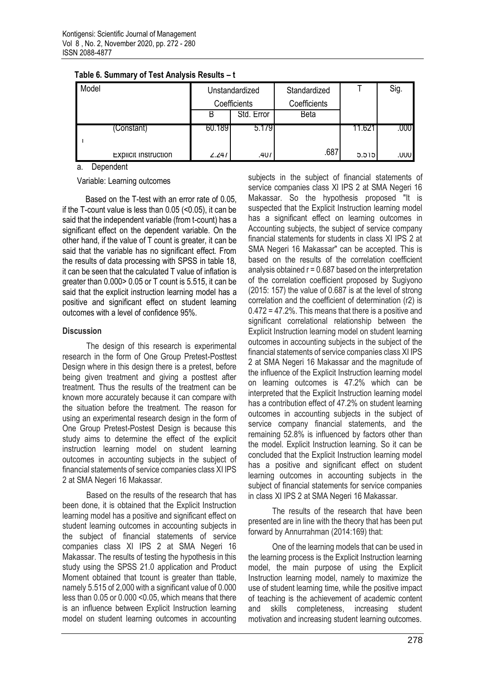| Model                       |                              | Unstandardized | Standardized |        | Sig. |
|-----------------------------|------------------------------|----------------|--------------|--------|------|
|                             | Coefficients<br>Coefficients |                |              |        |      |
|                             | B                            | Std. Error     | Beta         |        |      |
| (Constant)                  | 60.1891                      | 5.179          |              | 11.621 | .000 |
|                             |                              |                |              |        |      |
| <b>EXPIICIT INSTRUCTION</b> | 2.241                        | .407           | .687         | 5.515  | .UUU |

**Table 6. Summary of Test Analysis Results – t**

a. Dependent

Variable: Learning outcomes

Based on the T-test with an error rate of 0.05, if the T-count value is less than 0.05 (<0.05), it can be said that the independent variable (from t-count) has a significant effect on the dependent variable. On the other hand, if the value of T count is greater, it can be said that the variable has no significant effect. From the results of data processing with SPSS in table 18, it can be seen that the calculated T value of inflation is greater than 0.000> 0.05 or T count is 5.515, it can be said that the explicit instruction learning model has a positive and significant effect on student learning outcomes with a level of confidence 95%.

### **Discussion**

The design of this research is experimental research in the form of One Group Pretest-Posttest Design where in this design there is a pretest, before being given treatment and giving a posttest after treatment. Thus the results of the treatment can be known more accurately because it can compare with the situation before the treatment. The reason for using an experimental research design in the form of One Group Pretest-Postest Design is because this study aims to determine the effect of the explicit instruction learning model on student learning outcomes in accounting subjects in the subject of financial statements of service companies class XI IPS 2 at SMA Negeri 16 Makassar.

Based on the results of the research that has been done, it is obtained that the Explicit Instruction learning model has a positive and significant effect on student learning outcomes in accounting subjects in the subject of financial statements of service companies class XI IPS 2 at SMA Negeri 16 Makassar. The results of testing the hypothesis in this study using the SPSS 21.0 application and Product Moment obtained that tcount is greater than ttable, namely 5.515 of 2,000 with a significant value of 0.000 less than 0.05 or 0.000 <0.05, which means that there is an influence between Explicit Instruction learning model on student learning outcomes in accounting subjects in the subject of financial statements of service companies class XI IPS 2 at SMA Negeri 16 Makassar. So the hypothesis proposed "It is suspected that the Explicit Instruction learning model has a significant effect on learning outcomes in Accounting subjects, the subject of service company financial statements for students in class XI IPS 2 at SMA Negeri 16 Makassar" can be accepted. This is based on the results of the correlation coefficient analysis obtained  $r = 0.687$  based on the interpretation of the correlation coefficient proposed by Sugiyono (2015: 157) the value of 0.687 is at the level of strong correlation and the coefficient of determination (r2) is 0.472 = 47.2%. This means that there is a positive and significant correlational relationship between the Explicit Instruction learning model on student learning outcomes in accounting subjects in the subject of the financial statements of service companies class XI IPS 2 at SMA Negeri 16 Makassar and the magnitude of the influence of the Explicit Instruction learning model on learning outcomes is 47.2% which can be interpreted that the Explicit Instruction learning model has a contribution effect of 47.2% on student learning outcomes in accounting subjects in the subject of service company financial statements, and the remaining 52.8% is influenced by factors other than the model. Explicit Instruction learning. So it can be concluded that the Explicit Instruction learning model has a positive and significant effect on student learning outcomes in accounting subjects in the subject of financial statements for service companies in class XI IPS 2 at SMA Negeri 16 Makassar.

The results of the research that have been presented are in line with the theory that has been put forward by Annurrahman (2014:169) that:

One of the learning models that can be used in the learning process is the Explicit Instruction learning model, the main purpose of using the Explicit Instruction learning model, namely to maximize the use of student learning time, while the positive impact of teaching is the achievement of academic content and skills completeness, increasing student motivation and increasing student learning outcomes.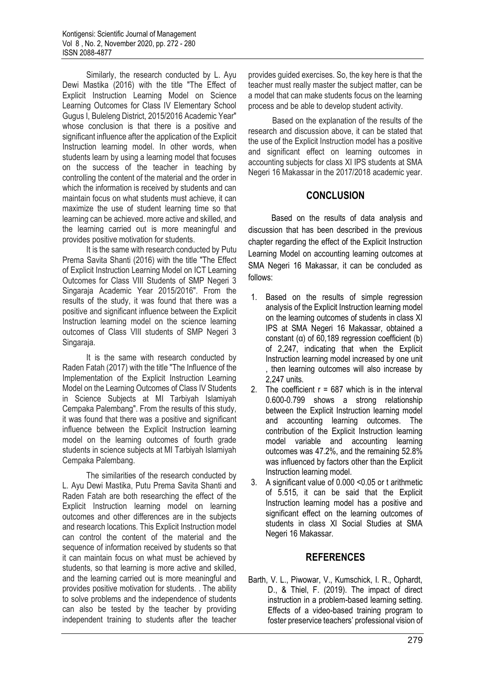Similarly, the research conducted by L. Ayu Dewi Mastika (2016) with the title "The Effect of Explicit Instruction Learning Model on Science Learning Outcomes for Class IV Elementary School Gugus I, Buleleng District, 2015/2016 Academic Year" whose conclusion is that there is a positive and significant influence after the application of the Explicit Instruction learning model. In other words, when students learn by using a learning model that focuses on the success of the teacher in teaching by controlling the content of the material and the order in which the information is received by students and can maintain focus on what students must achieve, it can maximize the use of student learning time so that learning can be achieved. more active and skilled, and the learning carried out is more meaningful and provides positive motivation for students.

It is the same with research conducted by Putu Prema Savita Shanti (2016) with the title "The Effect of Explicit Instruction Learning Model on ICT Learning Outcomes for Class VIII Students of SMP Negeri 3 Singaraja Academic Year 2015/2016". From the results of the study, it was found that there was a positive and significant influence between the Explicit Instruction learning model on the science learning outcomes of Class VIII students of SMP Negeri 3 Singaraja.

It is the same with research conducted by Raden Fatah (2017) with the title "The Influence of the Implementation of the Explicit Instruction Learning Model on the Learning Outcomes of Class IV Students in Science Subjects at MI Tarbiyah Islamiyah Cempaka Palembang". From the results of this study, it was found that there was a positive and significant influence between the Explicit Instruction learning model on the learning outcomes of fourth grade students in science subjects at MI Tarbiyah Islamiyah Cempaka Palembang.

The similarities of the research conducted by L. Ayu Dewi Mastika, Putu Prema Savita Shanti and Raden Fatah are both researching the effect of the Explicit Instruction learning model on learning outcomes and other differences are in the subjects and research locations. This Explicit Instruction model can control the content of the material and the sequence of information received by students so that it can maintain focus on what must be achieved by students, so that learning is more active and skilled, and the learning carried out is more meaningful and provides positive motivation for students. . The ability to solve problems and the independence of students can also be tested by the teacher by providing independent training to students after the teacher

provides guided exercises. So, the key here is that the teacher must really master the subject matter, can be a model that can make students focus on the learning process and be able to develop student activity.

Based on the explanation of the results of the research and discussion above, it can be stated that the use of the Explicit Instruction model has a positive and significant effect on learning outcomes in accounting subjects for class XI IPS students at SMA Negeri 16 Makassar in the 2017/2018 academic year.

# **CONCLUSION**

Based on the results of data analysis and discussion that has been described in the previous chapter regarding the effect of the Explicit Instruction Learning Model on accounting learning outcomes at SMA Negeri 16 Makassar, it can be concluded as follows:

- 1. Based on the results of simple regression analysis of the Explicit Instruction learning model on the learning outcomes of students in class XI IPS at SMA Negeri 16 Makassar, obtained a constant (α) of 60,189 regression coefficient (b) of 2,247, indicating that when the Explicit Instruction learning model increased by one unit then learning outcomes will also increase by 2,247 units.
- 2. The coefficient  $r = 687$  which is in the interval 0.600-0.799 shows a strong relationship between the Explicit Instruction learning model and accounting learning outcomes. The contribution of the Explicit Instruction learning model variable and accounting learning outcomes was 47.2%, and the remaining 52.8% was influenced by factors other than the Explicit Instruction learning model.
- 3. A significant value of 0.000 <0.05 or t arithmetic of 5.515, it can be said that the Explicit Instruction learning model has a positive and significant effect on the learning outcomes of students in class XI Social Studies at SMA Negeri 16 Makassar.

# **REFERENCES**

Barth, V. L., Piwowar, V., Kumschick, I. R., Ophardt, D., & Thiel, F. (2019). The impact of direct instruction in a problem-based learning setting. Effects of a video-based training program to foster preservice teachers' professional vision of